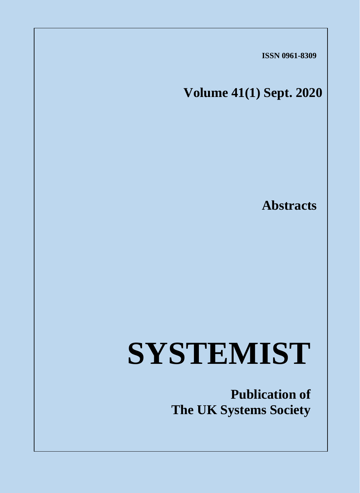**ISSN 0961-8309**

**Volume 41(1) Sept. 2020**

*Systemist, Vol. 41 (1), September 2020* 

**Abstracts**

# **SYSTEMIST**

**Publication of The UK Systems Society**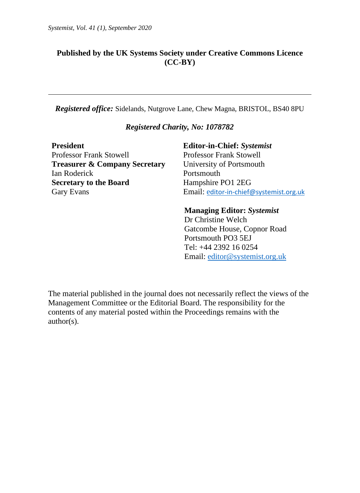#### **Published by the UK Systems Society under Creative Commons Licence (CC-BY)**

*Registered office:* Sidelands, Nutgrove Lane, Chew Magna, BRISTOL, BS40 8PU

#### *Registered Charity, No: 1078782*

**President Editor-in-Chief:** *Systemist* Professor Frank Stowell Professor Frank Stowell **Treasurer & Company Secretary** University of Portsmouth Ian Roderick Portsmouth **Secretary to the Board** Hampshire PO1 2EG

Gary Evans **Email:** e[ditor-in-chief@systemist.org.uk](mailto:editor-in-chief@systemist.org.uk)

#### **Managing Editor:** *Systemist*

Dr Christine Welch Gatcombe House, Copnor Road Portsmouth PO3 5EJ Tel: +44 2392 16 0254 Email: [editor@systemist.org.uk](mailto:editor@systemist.org.uk)

The material published in the journal does not necessarily reflect the views of the Management Committee or the Editorial Board. The responsibility for the contents of any material posted within the Proceedings remains with the author(s).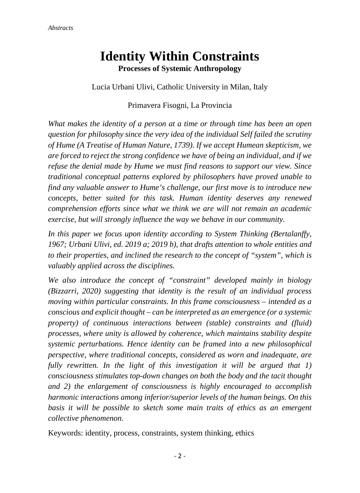# **Identity Within Constraints Processes of Systemic Anthropology**

Lucia Urbani Ulivi, Catholic University in Milan, Italy

#### Primavera Fisogni, La Provincia

*What makes the identity of a person at a time or through time has been an open question for philosophy since the very idea of the individual Self failed the scrutiny of Hume (A Treatise of Human Nature, 1739). If we accept Humean skepticism, we are forced to reject the strong confidence we have of being an individual, and if we refuse the denial made by Hume we must find reasons to support our view. Since traditional conceptual patterns explored by philosophers have proved unable to find any valuable answer to Hume's challenge, our first move is to introduce new concepts, better suited for this task. Human identity deserves any renewed comprehension efforts since what we think we are will not remain an academic exercise, but will strongly influence the way we behave in our community.* 

*In this paper we focus upon identity according to System Thinking (Bertalanffy, 1967; Urbani Ulivi, ed. 2019 a; 2019 b), that drafts attention to whole entities and to their properties, and inclined the research to the concept of "system", which is valuably applied across the disciplines.* 

*We also introduce the concept of "constraint" developed mainly in biology (Bizzarri, 2020) suggesting that identity is the result of an individual process moving within particular constraints. In this frame consciousness – intended as a conscious and explicit thought – can be interpreted as an emergence (or a systemic property) of continuous interactions between (stable) constraints and (fluid) processes, where unity is allowed by coherence, which maintains stability despite systemic perturbations. Hence identity can be framed into a new philosophical perspective, where traditional concepts, considered as worn and inadequate, are fully rewritten. In the light of this investigation it will be argued that 1) consciousness stimulates top-down changes on both the body and the tacit thought and 2) the enlargement of consciousness is highly encouraged to accomplish harmonic interactions among inferior/superior levels of the human beings. On this basis it will be possible to sketch some main traits of ethics as an emergent collective phenomenon.*

Keywords: identity, process, constraints, system thinking, ethics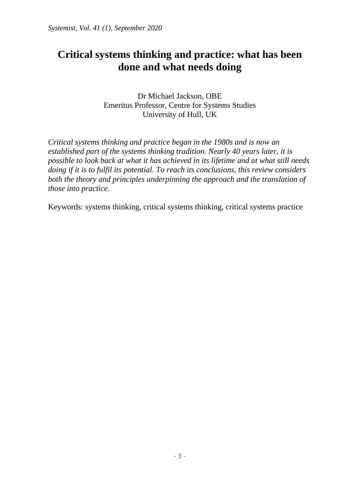## **Critical systems thinking and practice: what has been done and what needs doing**

Dr Michael Jackson, OBE Emeritus Professor, Centre for Systems Studies University of Hull, UK

*Critical systems thinking and practice began in the 1980s and is now an established part of the systems thinking tradition. Nearly 40 years later, it is possible to look back at what it has achieved in its lifetime and at what still needs doing if it is to fulfil its potential. To reach its conclusions, this review considers both the theory and principles underpinning the approach and the translation of those into practice.* 

Keywords: systems thinking, critical systems thinking, critical systems practice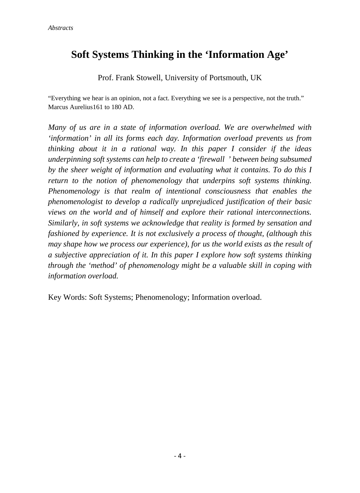## **Soft Systems Thinking in the 'Information Age'**

Prof. Frank Stowell, University of Portsmouth, UK

"Everything we hear is an opinion, not a fact. Everything we see is a perspective, not the truth." Marcus Aurelius161 to 180 AD.

*Many of us are in a state of information overload. We are overwhelmed with 'information' in all its forms each day. Information overload prevents us from thinking about it in a rational way. In this paper I consider if the ideas underpinning soft systems can help to create a 'firewall ' between being subsumed by the sheer weight of information and evaluating what it contains. To do this I return to the notion of phenomenology that underpins soft systems thinking. Phenomenology is that realm of intentional consciousness that enables the phenomenologist to develop a radically unprejudiced justification of their basic views on the world and of himself and explore their rational interconnections. Similarly, in soft systems we acknowledge that reality is formed by sensation and fashioned by experience. It is not exclusively a process of thought, (although this may shape how we process our experience), for us the world exists as the result of a subjective appreciation of it. In this paper I explore how soft systems thinking through the 'method' of phenomenology might be a valuable skill in coping with information overload.* 

Key Words: Soft Systems; Phenomenology; Information overload.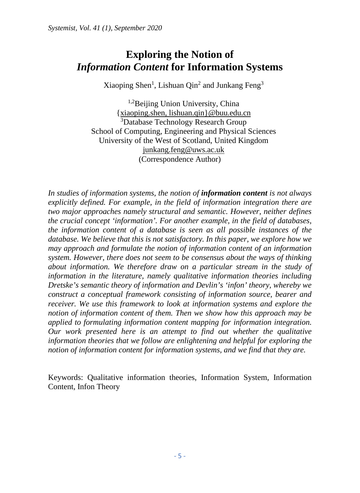#### **Exploring the Notion of** *Information Content* **for Information Systems**

Xiaoping Shen<sup>1</sup>, Lishuan Qin<sup>2</sup> and Junkang Feng<sup>3</sup>

<sup>1,2</sup>Beijing Union University, China [{xiaoping.shen, lishuan.qin}@buu.edu.cn](mailto:xiaoping.shen,%20lishuan.qin%7d@buu.edu.cn) 3 Database Technology Research Group School of Computing, Engineering and Physical Sciences University of the West of Scotland, United Kingdom [junkang.feng@uws.ac.uk](mailto:junkang.feng@uws.ac.uk) (Correspondence Author)

*In studies of information systems, the notion of information content is not always explicitly defined. For example, in the field of information integration there are two major approaches namely structural and semantic. However, neither defines the crucial concept 'information'. For another example, in the field of databases, the information content of a database is seen as all possible instances of the database. We believe that this is not satisfactory. In this paper, we explore how we may approach and formulate the notion of information content of an information system. However, there does not seem to be consensus about the ways of thinking about information. We therefore draw on a particular stream in the study of information in the literature, namely qualitative information theories including Dretske's semantic theory of information and Devlin's 'infon' theory, whereby we construct a conceptual framework consisting of information source, bearer and receiver. We use this framework to look at information systems and explore the notion of information content of them. Then we show how this approach may be applied to formulating information content mapping for information integration. Our work presented here is an attempt to find out whether the qualitative information theories that we follow are enlightening and helpful for exploring the notion of information content for information systems, and we find that they are.* 

Keywords: Qualitative information theories, Information System, Information Content, Infon Theory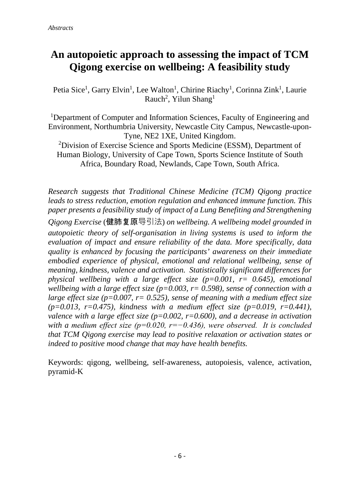#### **An autopoietic approach to assessing the impact of TCM Qigong exercise on wellbeing: A feasibility study**

Petia Sice<sup>1</sup>, Garry Elvin<sup>1</sup>, Lee Walton<sup>1</sup>, Chirine Riachy<sup>1</sup>, Corinna Zink<sup>1</sup>, Laurie Rauch<sup>2</sup>, Yilun Shang<sup>1</sup>

<sup>1</sup>Department of Computer and Information Sciences, Faculty of Engineering and Environment, Northumbria University, Newcastle City Campus, Newcastle-upon-Tyne, NE2 1XE, United Kingdom.

<sup>2</sup>Division of Exercise Science and Sports Medicine (ESSM), Department of Human Biology, University of Cape Town, Sports Science Institute of South Africa, Boundary Road, Newlands, Cape Town, South Africa.

*Research suggests that Traditional Chinese Medicine (TCM) Qigong practice leads to stress reduction, emotion regulation and enhanced immune function. This paper presents a feasibility study of impact of a Lung Benefiting and Strengthening Qigong Exercise* (健肺复原导引法) *on wellbeing. A wellbeing model grounded in autopoietic theory of self-organisation in living systems is used to inform the evaluation of impact and ensure reliability of the data. More specifically, data quality is enhanced by focusing the participants' awareness on their immediate embodied experience of physical, emotional and relational wellbeing, sense of meaning, kindness, valence and activation. Statistically significant differences for physical wellbeing with a large effect size (p=0.001, r= 0.645), emotional wellbeing with a large effect size (p=0.003, r= 0.598), sense of connection with a large effect size (p=0.007, r= 0.525), sense of meaning with a medium effect size (p=0.013, r=0.475), kindness with a medium effect size (p=0.019, r=0.441), valence with a large effect size (p=0.002, r=0.600), and a decrease in activation with a medium effect size (p=0.020, r=−0.436), were observed. It is concluded that TCM Qigong exercise may lead to positive relaxation or activation states or indeed to positive mood change that may have health benefits.* 

Keywords: qigong, wellbeing, self-awareness, autopoiesis, valence, activation, pyramid-K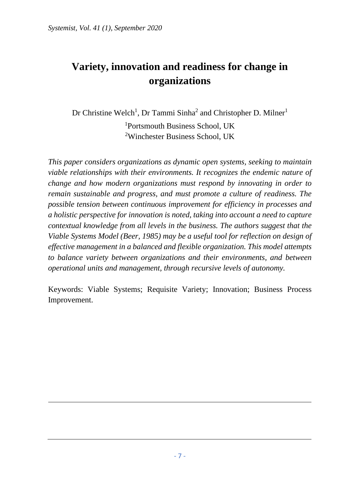# **Variety, innovation and readiness for change in organizations**

Dr Christine Welch<sup>1</sup>, Dr Tammi Sinha<sup>2</sup> and Christopher D. Milner<sup>1</sup> 1 Portsmouth Business School, UK 2 Winchester Business School, UK

*This paper considers organizations as dynamic open systems, seeking to maintain viable relationships with their environments. It recognizes the endemic nature of change and how modern organizations must respond by innovating in order to remain sustainable and progress, and must promote a culture of readiness. The possible tension between continuous improvement for efficiency in processes and a holistic perspective for innovation is noted, taking into account a need to capture contextual knowledge from all levels in the business. The authors suggest that the Viable Systems Model (Beer, 1985) may be a useful tool for reflection on design of effective management in a balanced and flexible organization. This model attempts to balance variety between organizations and their environments, and between operational units and management, through recursive levels of autonomy.* 

Keywords: Viable Systems; Requisite Variety; Innovation; Business Process Improvement.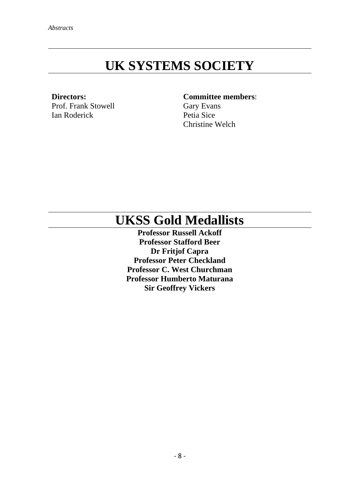# **UK SYSTEMS SOCIETY**

**Directors:**  Prof. Frank Stowell Ian Roderick

#### **Committee members**:

Gary Evans Petia Sice Christine Welch

# **UKSS Gold Medallists**

**Professor Russell Ackoff Professor Stafford Beer Dr Fritjof Capra Professor Peter Checkland Professor C. West Churchman Professor Humberto Maturana Sir Geoffrey Vickers**